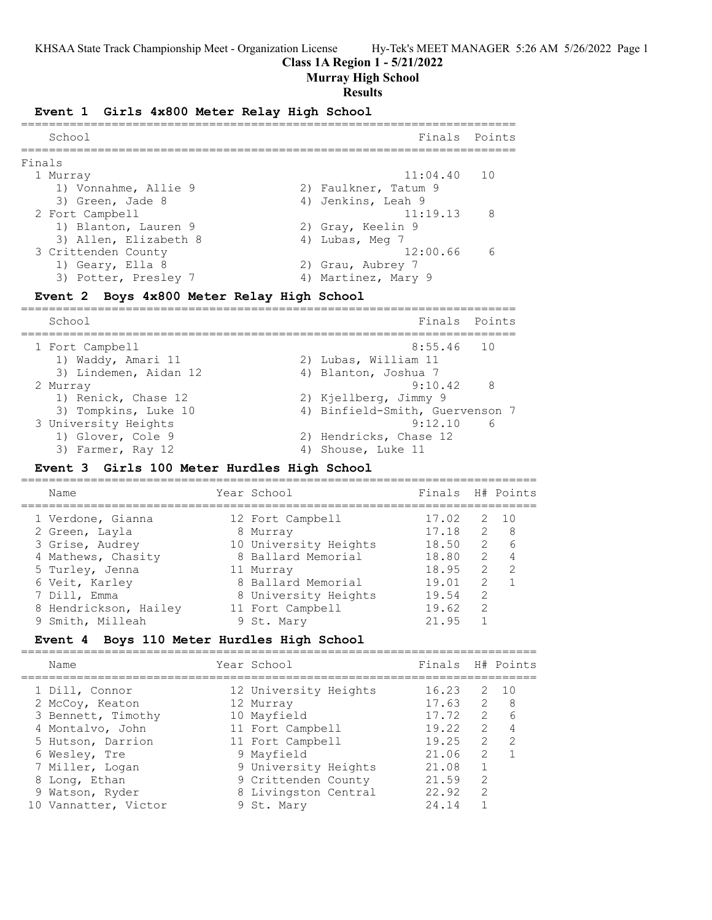### **Class 1A Region 1 - 5/21/2022**

### **Murray High School**

#### **Results**

#### **Event 1 Girls 4x800 Meter Relay High School**

| School                | Finals Points        |  |
|-----------------------|----------------------|--|
| Finals                |                      |  |
| 1 Murray              | $11:04.40$ 10        |  |
| 1) Vonnahme, Allie 9  | 2) Faulkner, Tatum 9 |  |
| 3) Green, Jade 8      | 4) Jenkins, Leah 9   |  |
| 2 Fort Campbell       | $11:19.13$ 8         |  |
| 1) Blanton, Lauren 9  | 2) Gray, Keelin 9    |  |
| 3) Allen, Elizabeth 8 | 4) Lubas, Meg 7      |  |
| 3 Crittenden County   | 12:00.66             |  |
| 1) Geary, Ella 8      | 2) Grau, Aubrey 7    |  |
| 3) Potter, Presley 7  | 4) Martinez, Mary 9  |  |
|                       |                      |  |

### **Event 2 Boys 4x800 Meter Relay High School**

======================================================================= School **Finals** Points ======================================================================= 1 Fort Campbell 8:55.46 10 1) Waddy, Amari 11 2) Lubas, William 11 3) Lindemen, Aidan 12 (4) Blanton, Joshua 7 2 Murray 9:10.42 8 1) Renick, Chase 12 2) Kjellberg, Jimmy 9 3) Tompkins, Luke 10 4) Binfield-Smith, Guervenson 7 3 University Heights 9:12.10 6 1) Glover, Cole 9 2) Hendricks, Chase 12 3) Farmer, Ray 12 4) Shouse, Luke 11

### **Event 3 Girls 100 Meter Hurdles High School**

| Name                  | Year School           | Finals H# Points |               |               |
|-----------------------|-----------------------|------------------|---------------|---------------|
| 1 Verdone, Gianna     | 12 Fort Campbell      | 17.02            |               | 2 10          |
| 2 Green, Layla        | 8 Murray              | 17.18            |               | 2 8           |
| 3 Grise, Audrey       | 10 University Heights | 18.50            | 2             | 6             |
| 4 Mathews, Chasity    | 8 Ballard Memorial    | 18.80            | 2             |               |
| 5 Turley, Jenna       | 11 Murray             | 18.95            | $\mathcal{P}$ | $\mathcal{P}$ |
| 6 Veit, Karley        | 8 Ballard Memorial    | 19.01            | $\mathcal{P}$ |               |
| 7 Dill, Emma          | 8 University Heights  | 19.54            | $\mathcal{L}$ |               |
| 8 Hendrickson, Hailey | 11 Fort Campbell      | 19.62            | $\mathcal{L}$ |               |
| 9 Smith, Milleah      | 9 St. Mary            | 21 95            |               |               |
|                       |                       |                  |               |               |

### **Event 4 Boys 110 Meter Hurdles High School**

|  | Name                              | Year School                        | Finals H# Points     |                                                                                                                                                                                                                                                                                                                                                                                                                            |                     |
|--|-----------------------------------|------------------------------------|----------------------|----------------------------------------------------------------------------------------------------------------------------------------------------------------------------------------------------------------------------------------------------------------------------------------------------------------------------------------------------------------------------------------------------------------------------|---------------------|
|  | 1 Dill, Connor<br>2 McCoy, Keaton | 12 University Heights<br>12 Murray | 16.23<br>$17.63$ 2 8 | 2                                                                                                                                                                                                                                                                                                                                                                                                                          | $\sqrt{10}$         |
|  | 3 Bennett, Timothy                | 10 Mayfield                        | 17.72                |                                                                                                                                                                                                                                                                                                                                                                                                                            | $\overline{2}$<br>6 |
|  | 4 Montalvo, John                  | 11 Fort Campbell                   | 19.22                | $\mathcal{L}$                                                                                                                                                                                                                                                                                                                                                                                                              | $\overline{4}$      |
|  | 5 Hutson, Darrion                 | 11 Fort Campbell                   | 19.25                | $\mathcal{L}$                                                                                                                                                                                                                                                                                                                                                                                                              | - 2                 |
|  | 6 Wesley, Tre                     | 9 Mayfield                         | 21.06                | $\mathcal{L}$                                                                                                                                                                                                                                                                                                                                                                                                              |                     |
|  | 7 Miller, Logan                   | 9 University Heights               | 21.08                |                                                                                                                                                                                                                                                                                                                                                                                                                            |                     |
|  | 8 Long, Ethan                     | 9 Crittenden County                | 21.59                | $\mathfrak{D}_{1}^{2}(\mathfrak{D}_{1})=\mathfrak{D}_{2}^{2}(\mathfrak{D}_{2})=\mathfrak{D}_{2}^{2}(\mathfrak{D}_{1})=\mathfrak{D}_{2}^{2}(\mathfrak{D}_{2})=\mathfrak{D}_{2}^{2}(\mathfrak{D}_{1})=\mathfrak{D}_{2}^{2}(\mathfrak{D}_{1})=\mathfrak{D}_{2}^{2}(\mathfrak{D}_{1})=\mathfrak{D}_{2}^{2}(\mathfrak{D}_{1})=\mathfrak{D}_{2}^{2}(\mathfrak{D}_{1})=\mathfrak{D}_{2}^{2}(\mathfrak{D}_{1})=\mathfrak{D}_{2}^{$ |                     |
|  | 9 Watson, Ryder                   | 8 Livingston Central               | 22.92                | $\mathcal{D}$                                                                                                                                                                                                                                                                                                                                                                                                              |                     |
|  | 10 Vannatter, Victor              | 9 St. Mary                         | 24.14                |                                                                                                                                                                                                                                                                                                                                                                                                                            |                     |
|  |                                   |                                    |                      |                                                                                                                                                                                                                                                                                                                                                                                                                            |                     |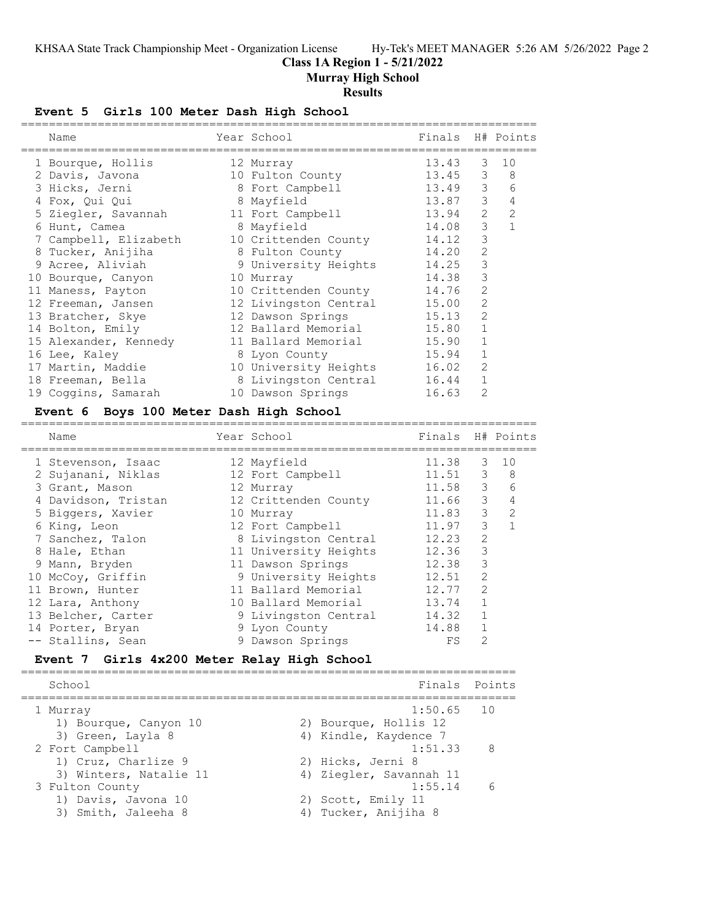# **Class 1A Region 1 - 5/21/2022**

**Murray High School**

### **Results**

# **Event 5 Girls 100 Meter Dash High School**

| Name        |                                                                                                                                                                                                                                                                                                                                                                                             |                                                                                                                                                                                                                                                                                                          |                                                                                                |                                                                    |
|-------------|---------------------------------------------------------------------------------------------------------------------------------------------------------------------------------------------------------------------------------------------------------------------------------------------------------------------------------------------------------------------------------------------|----------------------------------------------------------------------------------------------------------------------------------------------------------------------------------------------------------------------------------------------------------------------------------------------------------|------------------------------------------------------------------------------------------------|--------------------------------------------------------------------|
|             |                                                                                                                                                                                                                                                                                                                                                                                             |                                                                                                                                                                                                                                                                                                          |                                                                                                | 10                                                                 |
|             |                                                                                                                                                                                                                                                                                                                                                                                             |                                                                                                                                                                                                                                                                                                          | 3                                                                                              | 8                                                                  |
|             |                                                                                                                                                                                                                                                                                                                                                                                             |                                                                                                                                                                                                                                                                                                          | $\mathcal{S}$                                                                                  | 6                                                                  |
|             |                                                                                                                                                                                                                                                                                                                                                                                             |                                                                                                                                                                                                                                                                                                          | 3                                                                                              | $\overline{4}$                                                     |
|             |                                                                                                                                                                                                                                                                                                                                                                                             | 13.94                                                                                                                                                                                                                                                                                                    | $\overline{2}$                                                                                 | $\overline{2}$                                                     |
| Hunt, Camea |                                                                                                                                                                                                                                                                                                                                                                                             |                                                                                                                                                                                                                                                                                                          | 3                                                                                              | $\mathbf{1}$                                                       |
|             |                                                                                                                                                                                                                                                                                                                                                                                             | 14.12                                                                                                                                                                                                                                                                                                    | 3                                                                                              |                                                                    |
|             |                                                                                                                                                                                                                                                                                                                                                                                             | 14.20                                                                                                                                                                                                                                                                                                    | $\overline{2}$                                                                                 |                                                                    |
|             |                                                                                                                                                                                                                                                                                                                                                                                             | 14.25                                                                                                                                                                                                                                                                                                    | 3                                                                                              |                                                                    |
|             |                                                                                                                                                                                                                                                                                                                                                                                             | 14.38                                                                                                                                                                                                                                                                                                    | 3                                                                                              |                                                                    |
|             |                                                                                                                                                                                                                                                                                                                                                                                             | 14.76                                                                                                                                                                                                                                                                                                    | $\overline{2}$                                                                                 |                                                                    |
|             |                                                                                                                                                                                                                                                                                                                                                                                             | 15.00                                                                                                                                                                                                                                                                                                    | $\overline{2}$                                                                                 |                                                                    |
|             |                                                                                                                                                                                                                                                                                                                                                                                             | 15.13                                                                                                                                                                                                                                                                                                    | $\overline{2}$                                                                                 |                                                                    |
|             |                                                                                                                                                                                                                                                                                                                                                                                             | 15.80                                                                                                                                                                                                                                                                                                    | $\mathbf{1}$                                                                                   |                                                                    |
|             |                                                                                                                                                                                                                                                                                                                                                                                             | 15.90                                                                                                                                                                                                                                                                                                    | 1                                                                                              |                                                                    |
|             |                                                                                                                                                                                                                                                                                                                                                                                             | 15.94                                                                                                                                                                                                                                                                                                    | $\mathbf{1}$                                                                                   |                                                                    |
|             |                                                                                                                                                                                                                                                                                                                                                                                             | 16.02                                                                                                                                                                                                                                                                                                    | $\overline{2}$                                                                                 |                                                                    |
|             |                                                                                                                                                                                                                                                                                                                                                                                             | 16.44                                                                                                                                                                                                                                                                                                    | 1                                                                                              |                                                                    |
|             |                                                                                                                                                                                                                                                                                                                                                                                             | 16.63                                                                                                                                                                                                                                                                                                    | $\overline{2}$                                                                                 |                                                                    |
|             | 1 Bourque, Hollis<br>2 Davis, Javona<br>3 Hicks, Jerni<br>4 Fox, Qui Qui<br>5 Ziegler, Savannah<br>6<br>7 Campbell, Elizabeth<br>8 Tucker, Anijiha<br>9 Acree, Aliviah<br>10 Bourque, Canyon<br>11 Maness, Payton<br>12 Freeman, Jansen<br>13 Bratcher, Skye<br>14 Bolton, Emily<br>15 Alexander, Kennedy<br>16 Lee, Kaley<br>17 Martin, Maddie<br>18 Freeman, Bella<br>19 Coggins, Samarah | Year School<br>12 Murray<br>10 Fulton County<br>8 Fort Campbell<br>8 Mayfield<br>11 Fort Campbell<br>8 Mayfield<br>10 Crittenden County<br>8 Fulton County<br>10 Murray<br>12 Dawson Springs<br>12 Ballard Memorial<br>11 Ballard Memorial<br>8 Lyon County<br>8 Livingston Central<br>10 Dawson Springs | 9 University Heights<br>10 Crittenden County<br>12 Livingston Central<br>10 University Heights | Finals H# Points<br>13.43<br>3<br>13.45<br>13.49<br>13.87<br>14.08 |

# **Event 6 Boys 100 Meter Dash High School**

| Finals H# Points |                |               |
|------------------|----------------|---------------|
| 11.38            | 3              | 10            |
| 11.51            | 3              | 8             |
| 11.58            | 3              | 6             |
| 11.66            | 3              | 4             |
| 11.83            | 3              | $\mathcal{L}$ |
| 11.97            | 3              |               |
| 12.23            | $\overline{2}$ |               |
| 12.36            | 3              |               |
| 12.38            | 3              |               |
| 12.51            | 2              |               |
| 12.77            | $\overline{2}$ |               |
| 13.74            | 1              |               |
| 14.32            | 1              |               |
| 14.88            |                |               |
| FS               | 2              |               |
|                  |                |               |

# **Event 7 Girls 4x200 Meter Relay High School**

| School                                                           |  |                                                                | Finals Points |
|------------------------------------------------------------------|--|----------------------------------------------------------------|---------------|
| 1 Murray<br>1) Bourque, Canyon 10<br>3) Green, Layla 8           |  | $1:50.65$ 10<br>2) Bourque, Hollis 12<br>4) Kindle, Kaydence 7 |               |
| 2 Fort Campbell<br>1) Cruz, Charlize 9<br>3) Winters, Natalie 11 |  | $1:51.33$ 8<br>2) Hicks, Jerni 8<br>4) Ziegler, Savannah 11    |               |
| 3 Fulton County<br>1) Davis, Javona 10<br>3) Smith, Jaleeha 8    |  | 1:55.14<br>2) Scott, Emily 11<br>4) Tucker, Anijiha 8          | 6             |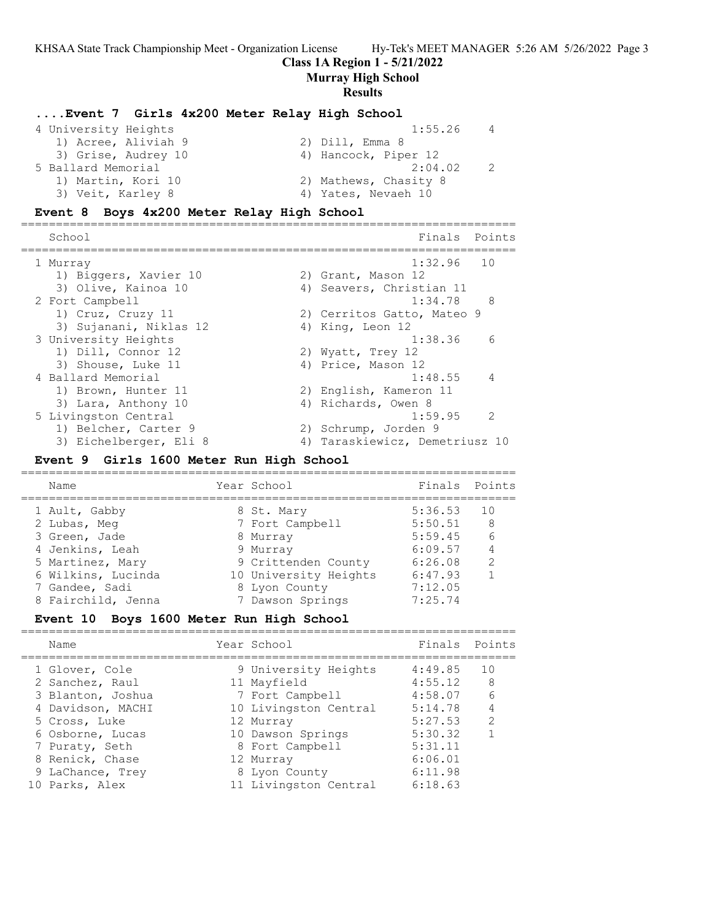#### **Class 1A Region 1 - 5/21/2022**

**Murray High School**

#### **Results**

## **....Event 7 Girls 4x200 Meter Relay High School** 4 University Heights 1:55.26 4 1) Acree, Aliviah 9 2) Dill, Emma 8 3) Grise, Audrey 10 (4) Hancock, Piper 12 5 Ballard Memorial 2:04.02 2 1) Martin, Kori 10 2) Mathews, Chasity 8 3) Veit, Karley 8 4) Yates, Nevaeh 10 **Event 8 Boys 4x200 Meter Relay High School** ======================================================================= Finals Points ======================================================================= 1 Murray 1:32.96 10 1) Biggers, Xavier 10 2) Grant, Mason 12 3) Olive, Kainoa 10 4) Seavers, Christian 11 2 Fort Campbell 2 and 2 and 2 and 2 and 2 and 2 and 2 and 2 and 2 and 2 and 2 and 2 and 2 and 2 and 2 and 2 and 2 and 2 and 2 and 2 and 2 and 2 and 2 and 2 and 2 and 2 and 2 and 2 and 2 and 2 and 2 and 2 and 2 and 2 and 2 1) Cruz, Cruzy 11 2) Cerritos Gatto, Mateo 9 3) Sujanani, Niklas 12 (4) King, Leon 12 3 University Heights 1:38.36 6 1) Dill, Connor 12 2) Wyatt, Trey 12 3) Shouse, Luke 11 4) Price, Mason 12 4 Ballard Memorial 1:48.55 4 1) Brown, Hunter 11 2) English, Kameron 11 3) Lara, Anthony 10 4) Richards, Owen 8 5 Livingston Central 1:59.95 2 1) Belcher, Carter 9 2) Schrump, Jorden 9 3) Eichelberger, Eli 8 4) Taraskiewicz, Demetriusz 10 **Event 9 Girls 1600 Meter Run High School** ======================================================================= Name Year School Finals Points ======================================================================= 1 Ault, Gabby 8 St. Mary 5:36.53 10 2 Lubas, Meg 7 Fort Campbell 5:50.51 8 3 Green, Jade 8 Murray 5:59.45 6 4 Jenkins, Leah 9 Murray 6:09.57 4 5 Martinez, Mary 9 Crittenden County 6:26.08 2 6 Wilkins, Lucinda 10 University Heights 6:47.93 1 7 Gandee, Sadi 8 Lyon County 7:12.05 8 Fairchild, Jenna 7 Dawson Springs 7:25.74 **Event 10 Boys 1600 Meter Run High School** ======================================================================= Name Year School Finals Points ======================================================================= 1 Glover, Cole 9 University Heights 4:49.85 10 2 Sanchez, Raul 11 Mayfield 4:55.12 8

 3 Blanton, Joshua 7 Fort Campbell 4:58.07 6 4 Davidson, MACHI 10 Livingston Central 5:14.78 4 5 Cross, Luke 12 Murray 5:27.53 2 6 Osborne, Lucas 10 Dawson Springs 5:30.32 1 7 Puraty, Seth 8 Fort Campbell 5:31.11 8 Renick, Chase 12 Murray 6:06.01 9 LaChance, Trey 8 Lyon County 6:11.98 10 Parks, Alex 11 Livingston Central 6:18.63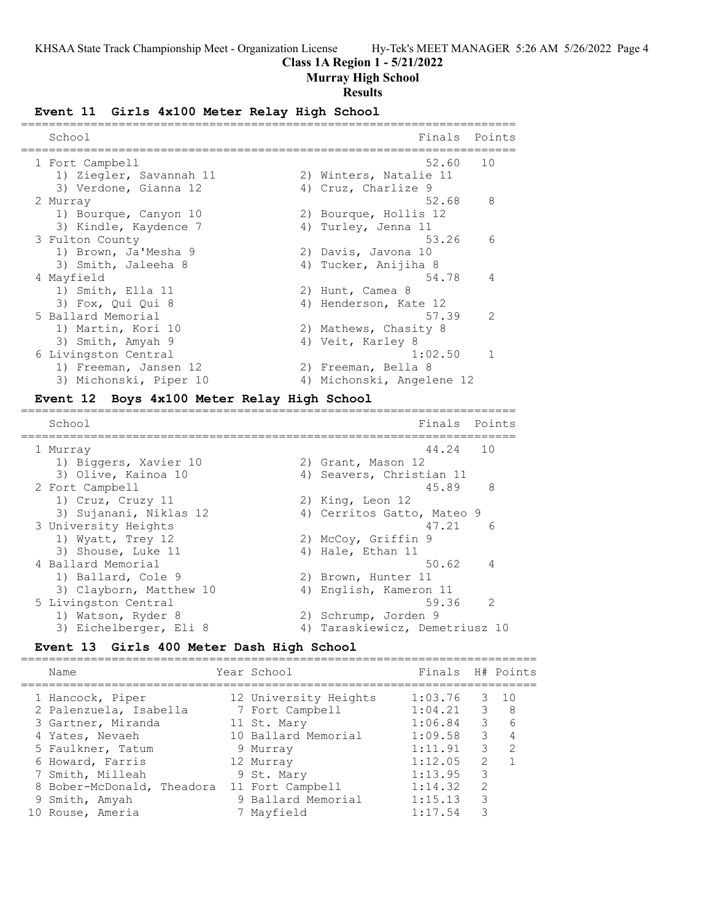### **Class 1A Region 1 - 5/21/2022**

### **Murray High School**

#### **Results**

#### **Event 11 Girls 4x100 Meter Relay High School**

| School                  |    | Finals                 | Points         |
|-------------------------|----|------------------------|----------------|
| 1 Fort Campbell         |    | 52.60                  | 10             |
| 1) Ziegler, Savannah 11 |    | 2) Winters, Natalie 11 |                |
| 3) Verdone, Gianna 12   |    | 4) Cruz, Charlize 9    |                |
| 2 Murray                |    | 52.68                  | 8              |
| 1) Bourque, Canyon 10   |    | 2) Bourque, Hollis 12  |                |
| 3) Kindle, Kaydence 7   |    | 4) Turley, Jenna 11    |                |
| 3 Fulton County         |    | 53.26                  | 6              |
| 1) Brown, Ja'Mesha 9    |    | 2) Davis, Javona 10    |                |
| 3) Smith, Jaleeha 8     |    | 4) Tucker, Anijiha 8   |                |
| 4 Mayfield              |    | 54.78                  | $\overline{4}$ |
| 1) Smith, Ella 11       |    | 2) Hunt, Camea 8       |                |
| 3) Fox, Qui Qui 8       |    | 4) Henderson, Kate 12  |                |
| 5 Ballard Memorial      |    | 57.39                  | $\mathcal{P}$  |
| 1) Martin, Kori 10      |    | 2) Mathews, Chasity 8  |                |
| 3) Smith, Amyah 9       |    | 4) Veit, Karley 8      |                |
| 6 Livingston Central    |    | 1:02.50                | 1              |
| 1) Freeman, Jansen 12   |    | 2) Freeman, Bella 8    |                |
| 3) Michonski, Piper 10  | 4) | Michonski, Angelene 12 |                |

#### **Event 12 Boys 4x100 Meter Relay High School**

======================================================================= School **Finals** Points ======================================================================= 1 Murray 44.24 10 1) Biggers, Xavier 10 2) Grant, Mason 12 3) Olive, Kainoa 10 4) Seavers, Christian 11 2 Fort Campbell 45.89 8 1) Cruz, Cruzy 11 2) King, Leon 12 3) Sujanani, Niklas 12 4) Cerritos Gatto, Mateo 9 3 University Heights 47.21 6 1) Wyatt, Trey 12 2) McCoy, Griffin 9 3) Shouse, Luke 11 4) Hale, Ethan 11 4 Ballard Memorial 50.62 4 1) Ballard, Cole 9 2) Brown, Hunter 11 3) Clayborn, Matthew 10 4) English, Kameron 11 5 Livingston Central 59.36 2 1) Watson, Ryder 8 2) Schrump, Jorden 9 3) Eichelberger, Eli 8 4) Taraskiewicz, Demetriusz 10

#### **Event 13 Girls 400 Meter Dash High School**

| Name                       | Year School           | Finals H# Points |                |                 |
|----------------------------|-----------------------|------------------|----------------|-----------------|
| 1 Hancock, Piper           | 12 University Heights | 1:03.76          | $\mathcal{S}$  | $\sqrt{10}$     |
| 2 Palenzuela, Isabella     | 7 Fort Campbell       | $1:04.21$ 3 8    |                |                 |
| 3 Gartner, Miranda         | 11 St. Mary           | 1:06.84          | $\overline{3}$ | $6\overline{6}$ |
| 4 Yates, Nevaeh            | 10 Ballard Memorial   | 1:09.58          | 3              | $\overline{4}$  |
| 5 Faulkner, Tatum          | 9 Murray              | 1:11.91          | 3              | 2               |
| 6 Howard, Farris           | 12 Murray             | 1:12.05          | $\mathcal{L}$  |                 |
| 7 Smith, Milleah           | 9 St. Mary            | 1:13.95          | 3              |                 |
| 8 Bober-McDonald, Theadora | 11 Fort Campbell      | 1:14.32          | $\mathcal{L}$  |                 |
| 9 Smith, Amyah             | 9 Ballard Memorial    | 1:15.13          | 3              |                 |
| 10 Rouse, Ameria           | 7 Mayfield            | 1:17.54          | 3              |                 |
|                            |                       |                  |                |                 |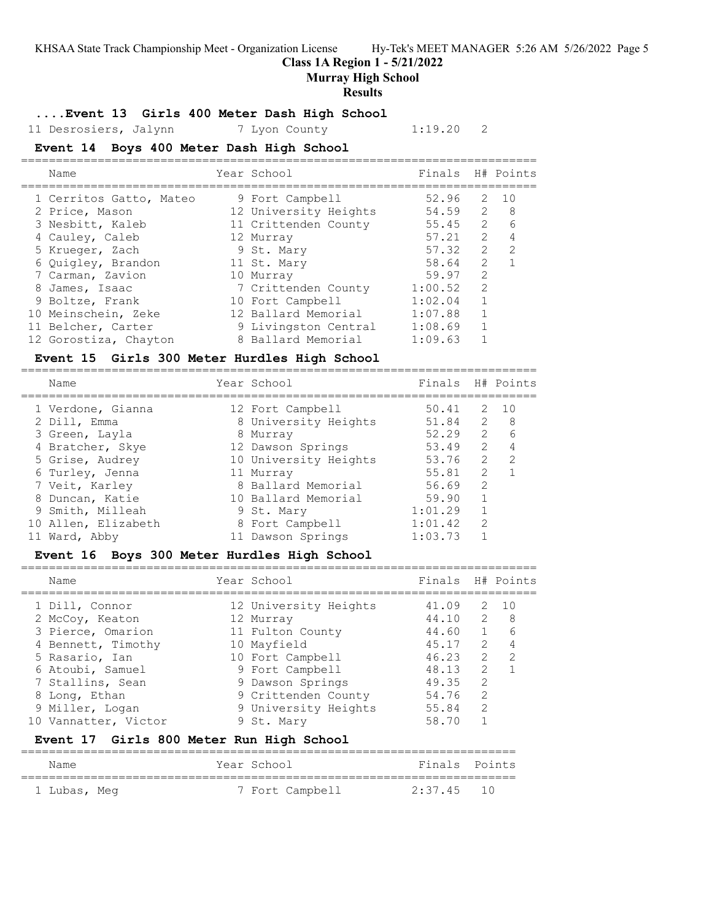# **Class 1A Region 1 - 5/21/2022**

**Murray High School**

#### **Results**

### **....Event 13 Girls 400 Meter Dash High School**

11 Desrosiers, Jalynn 7 Lyon County 1:19.20 2

### **Event 14 Boys 400 Meter Dash High School**

| Name                    | Year School           | Finals H# Points |                |               |
|-------------------------|-----------------------|------------------|----------------|---------------|
| 1 Cerritos Gatto, Mateo | 9 Fort Campbell       | 52.96            | 2              | $\sqrt{10}$   |
| 2 Price, Mason          | 12 University Heights | 54.59            | $\overline{2}$ | - 8           |
| 3 Nesbitt, Kaleb        | 11 Crittenden County  | 55.45            | 2              | 6             |
| 4 Cauley, Caleb         | 12 Murray             | 57.21            | $\mathcal{L}$  | 4             |
| 5 Krueger, Zach         | 9 St. Mary            | 57.32            | $\mathcal{L}$  | $\mathcal{L}$ |
| 6 Quigley, Brandon      | 11 St. Mary           | 58.64            | $\mathcal{L}$  |               |
| 7 Carman, Zavion        | 10 Murray             | 59.97            | $\mathcal{L}$  |               |
| 8 James, Isaac          | 7 Crittenden County   | 1:00.52          | $\mathcal{L}$  |               |
| 9 Boltze, Frank         | 10 Fort Campbell      | 1:02.04          |                |               |
| 10 Meinschein, Zeke     | 12 Ballard Memorial   | 1:07.88          |                |               |
| 11 Belcher, Carter      | 9 Livingston Central  | 1:08.69          |                |               |
| 12 Gorostiza, Chayton   | 8 Ballard Memorial    | 1:09.63          |                |               |

#### **Event 15 Girls 300 Meter Hurdles High School**

| Name                | Year School           | Finals H# Points |               |               |
|---------------------|-----------------------|------------------|---------------|---------------|
| 1 Verdone, Gianna   | 12 Fort Campbell      | 50.41            | 2             | 10            |
| 2 Dill, Emma        | 8 University Heights  | 51.84            | 2             | 8             |
| 3 Green, Layla      | 8 Murray              | 52.29            | $\mathcal{L}$ | 6             |
| 4 Bratcher, Skye    | 12 Dawson Springs     | 53.49            | $\mathcal{L}$ |               |
| 5 Grise, Audrey     | 10 University Heights | 53.76            | $\mathcal{L}$ | $\mathcal{L}$ |
| 6 Turley, Jenna     | 11 Murray             | 55.81            | $\mathcal{P}$ |               |
| 7 Veit, Karley      | 8 Ballard Memorial    | 56.69            | $\mathcal{L}$ |               |
| 8 Duncan, Katie     | 10 Ballard Memorial   | 59.90            |               |               |
| 9 Smith, Milleah    | 9 St. Mary            | 1:01.29          |               |               |
| 10 Allen, Elizabeth | 8 Fort Campbell       | 1:01.42          | $\mathcal{L}$ |               |
| 11 Ward, Abby       | 11 Dawson Springs     | 1:03.73          |               |               |

### **Event 16 Boys 300 Meter Hurdles High School**

|  | Name                 | Year School           | Finals H# Points |                |               |
|--|----------------------|-----------------------|------------------|----------------|---------------|
|  | 1 Dill, Connor       | 12 University Heights | 41.09            | 2              | 10            |
|  | 2 McCoy, Keaton      | 12 Murray             | 44.10            | $\overline{2}$ | - 8           |
|  | 3 Pierce, Omarion    | 11 Fulton County      | 44.60            | $\mathbf{1}$   | 6             |
|  | 4 Bennett, Timothy   | 10 Mayfield           | 45.17            | 2              |               |
|  | 5 Rasario, Ian       | 10 Fort Campbell      | 46.23            | 2              | $\mathcal{P}$ |
|  | 6 Atoubi, Samuel     | 9 Fort Campbell       | 48.13            | $\mathcal{L}$  |               |
|  | 7 Stallins, Sean     | 9 Dawson Springs      | 49.35            | $\mathcal{L}$  |               |
|  | 8 Long, Ethan        | 9 Crittenden County   | 54.76            | $\mathcal{L}$  |               |
|  | 9 Miller, Logan      | 9 University Heights  | 55.84            | $\mathcal{L}$  |               |
|  | 10 Vannatter, Victor | 9 St. Mary            | 58.70            |                |               |
|  |                      |                       |                  |                |               |

### **Event 17 Girls 800 Meter Run High School**

| Name         | Year School     | Finals Points |  |
|--------------|-----------------|---------------|--|
| 1 Lubas, Meg | 7 Fort Campbell | $2:37.45$ 10  |  |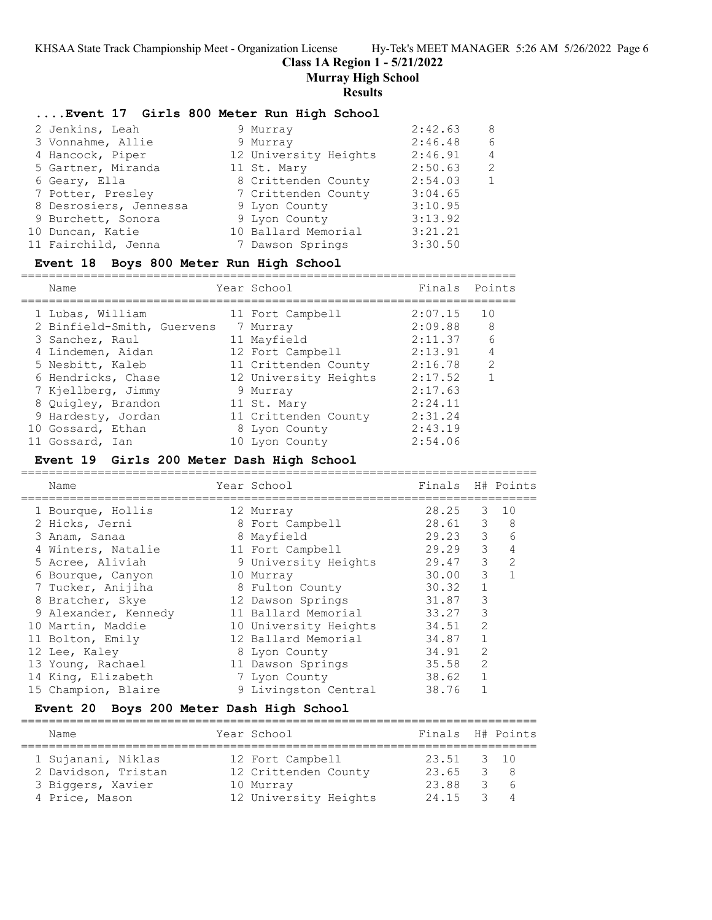# **Class 1A Region 1 - 5/21/2022**

**Murray High School**

#### **Results**

### **....Event 17 Girls 800 Meter Run High School**

| 2 Jenkins, Leah        | 9 Murray              | 2:42.63 | -8            |
|------------------------|-----------------------|---------|---------------|
| 3 Vonnahme, Allie      | 9 Murray              | 2:46.48 | 6             |
| 4 Hancock, Piper       | 12 University Heights | 2:46.91 | 4             |
| 5 Gartner, Miranda     | 11 St. Mary           | 2:50.63 | $\mathcal{L}$ |
| 6 Geary, Ella          | 8 Crittenden County   | 2:54.03 |               |
| 7 Potter, Presley      | 7 Crittenden County   | 3:04.65 |               |
| 8 Desrosiers, Jennessa | 9 Lyon County         | 3:10.95 |               |
| 9 Burchett, Sonora     | 9 Lyon County         | 3:13.92 |               |
| 10 Duncan, Katie       | 10 Ballard Memorial   | 3:21.21 |               |
| 11 Fairchild, Jenna    | 7 Dawson Springs      | 3:30.50 |               |
|                        |                       |         |               |

#### **Event 18 Boys 800 Meter Run High School**

=======================================================================

| Name                       | Year School           | Finals  | Points        |
|----------------------------|-----------------------|---------|---------------|
| 1 Lubas, William           | 11 Fort Campbell      | 2:07.15 | 10            |
| 2 Binfield-Smith, Guervens | 7 Murray              | 2:09.88 | - 8           |
| 3 Sanchez, Raul            | 11 Mayfield           | 2:11.37 | 6             |
| 4 Lindemen, Aidan          | 12 Fort Campbell      | 2:13.91 | 4             |
| 5 Nesbitt, Kaleb           | 11 Crittenden County  | 2:16.78 | $\mathcal{L}$ |
| 6 Hendricks, Chase         | 12 University Heights | 2:17.52 |               |
| 7 Kjellberg, Jimmy         | 9 Murray              | 2:17.63 |               |
| 8 Quigley, Brandon         | 11 St. Mary           | 2:24.11 |               |
| 9 Hardesty, Jordan         | 11 Crittenden County  | 2:31.24 |               |
| 10 Gossard, Ethan          | 8 Lyon County         | 2:43.19 |               |
| 11 Gossard, Ian            | 10 Lyon County        | 2:54.06 |               |

### **Event 19 Girls 200 Meter Dash High School**

| Name                 | Year School           | Finals H# Points |   |               |
|----------------------|-----------------------|------------------|---|---------------|
| 1 Bourque, Hollis    | 12 Murray             | 28.25            | 3 | 10            |
| 2 Hicks, Jerni       | 8 Fort Campbell       | 28.61            | 3 | 8             |
| 3 Anam, Sanaa        | 8 Mayfield            | 29.23            | 3 | 6             |
| 4 Winters, Natalie   | 11 Fort Campbell      | 29.29            | 3 | 4             |
| 5 Acree, Aliviah     | 9 University Heights  | 29.47            | 3 | $\mathcal{L}$ |
| 6 Bourque, Canyon    | 10 Murray             | 30.00            | 3 |               |
| 7 Tucker, Anijiha    | 8 Fulton County       | 30.32            |   |               |
| 8 Bratcher, Skye     | 12 Dawson Springs     | 31.87            | 3 |               |
| 9 Alexander, Kennedy | 11 Ballard Memorial   | 33.27            | 3 |               |
| 10 Martin, Maddie    | 10 University Heights | 34.51            | 2 |               |
| 11 Bolton, Emily     | 12 Ballard Memorial   | 34.87            |   |               |
| 12 Lee, Kaley        | 8 Lyon County         | 34.91            | 2 |               |
| 13 Young, Rachael    | 11 Dawson Springs     | 35.58            | 2 |               |
| 14 King, Elizabeth   | 7 Lyon County         | 38.62            |   |               |
| 15 Champion, Blaire  | 9 Livingston Central  | 38.76            |   |               |

# **Event 20 Boys 200 Meter Dash High School**

| Name                                                           | Year School                                           | Finals H# Points             |                        |                |
|----------------------------------------------------------------|-------------------------------------------------------|------------------------------|------------------------|----------------|
| 1 Sujanani, Niklas<br>2 Davidson, Tristan<br>3 Biggers, Xavier | 12 Fort Campbell<br>12 Crittenden County<br>10 Murray | 23.51 3 10<br>23.65<br>23.88 | 3 8<br>$3\overline{6}$ |                |
| 4 Price, Mason                                                 | 12 University Heights                                 | 24.15                        | $\mathcal{L}$          | $\overline{4}$ |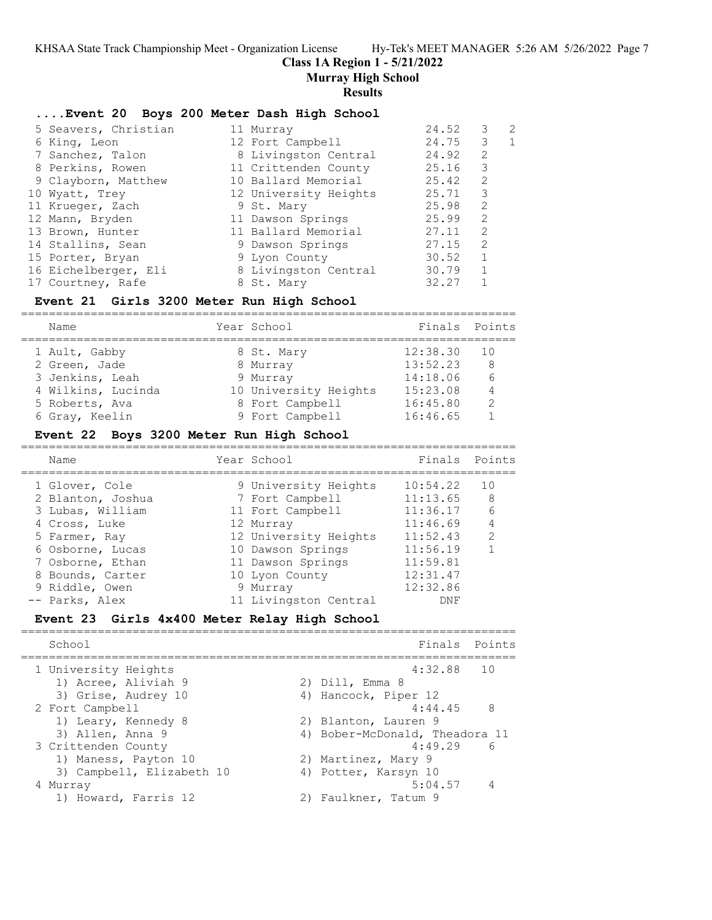### **Class 1A Region 1 - 5/21/2022**

**Murray High School**

#### **Results**

#### **....Event 20 Boys 200 Meter Dash High School**

| 5 Seavers, Christian | 11 Murray             | 24.52 | 3                        | 2 |
|----------------------|-----------------------|-------|--------------------------|---|
| 6 King, Leon         | 12 Fort Campbell      | 24.75 | 3                        | 1 |
| 7 Sanchez, Talon     | 8 Livingston Central  | 24.92 | 2                        |   |
| 8 Perkins, Rowen     | 11 Crittenden County  | 25.16 | $\overline{\mathbf{3}}$  |   |
| 9 Clayborn, Matthew  | 10 Ballard Memorial   | 25.42 | 2                        |   |
| 10 Wyatt, Trey       | 12 University Heights | 25.71 | $\overline{\phantom{a}}$ |   |
| 11 Krueger, Zach     | 9 St. Mary            | 25.98 | 2                        |   |
| 12 Mann, Bryden      | 11 Dawson Springs     | 25.99 | 2                        |   |
| 13 Brown, Hunter     | 11 Ballard Memorial   | 27.11 | 2                        |   |
| 14 Stallins, Sean    | 9 Dawson Springs      | 27.15 | 2                        |   |
| 15 Porter, Bryan     | 9 Lyon County         | 30.52 | 1                        |   |
| 16 Eichelberger, Eli | 8 Livingston Central  | 30.79 | 1                        |   |
| 17 Courtney, Rafe    | 8 St. Mary            | 32.27 | $\mathbf{1}$             |   |
|                      |                       |       |                          |   |

#### **Event 21 Girls 3200 Meter Run High School**

| Name               | Year School           | Finals Points |               |
|--------------------|-----------------------|---------------|---------------|
| 1 Ault, Gabby      | 8 St. Mary            | 12:38.30      | 1 O           |
| 2 Green, Jade      | 8 Murray              | 13:52.23      | 8             |
| 3 Jenkins, Leah    | 9 Murray              | 14:18.06      |               |
| 4 Wilkins, Lucinda | 10 University Heights | 15:23.08      | 4             |
| 5 Roberts, Ava     | 8 Fort Campbell       | 16:45.80      | $\mathcal{P}$ |
| 6 Gray, Keelin     | 9 Fort Campbell       | 16:46.65      |               |
|                    |                       |               |               |

#### **Event 22 Boys 3200 Meter Run High School**

| Name              | Year School           | Finals Points |                |
|-------------------|-----------------------|---------------|----------------|
| 1 Glover, Cole    | 9 University Heights  | 10:54.22      | 1 O            |
| 2 Blanton, Joshua | 7 Fort Campbell       | 11:13.65      | - 8            |
| 3 Lubas, William  | 11 Fort Campbell      | 11:36.17      | 6              |
| 4 Cross, Luke     | 12 Murray             | 11:46.69      | $\overline{4}$ |
| 5 Farmer, Ray     | 12 University Heights | 11:52.43      | $\mathcal{P}$  |
| 6 Osborne, Lucas  | 10 Dawson Springs     | 11:56.19      |                |
| 7 Osborne, Ethan  | 11 Dawson Springs     | 11:59.81      |                |
| 8 Bounds, Carter  | 10 Lyon County        | 12:31.47      |                |
| 9 Riddle, Owen    | 9 Murray              | 12:32.86      |                |
| -- Parks, Alex    | 11 Livingston Central | <b>DNF</b>    |                |
|                   |                       |               |                |

#### **Event 23 Girls 4x400 Meter Relay High School**

======================================================================= School **Finals** Points ======================================================================= 1 University Heights 1) Acree, Aliviah 9 2) Dill, Emma 8 3) Grise, Audrey 10  $\hskip 1.5 cm$  4) Hancock, Piper 12 2 Fort Campbell 4:44.45 8 1) Leary, Kennedy 8 2) Blanton, Lauren 9 3) Allen, Anna 9 4) Bober-McDonald, Theadora 11 3 Crittenden County 4:49.29 6 1) Maness, Payton 10 2) Martinez, Mary 9 3) Campbell, Elizabeth 10 (4) Potter, Karsyn 10 4 Murray 5:04.57 4<br>1) Howard, Farris 12 2) Faulkner, Tatum 9 1) Howard, Farris 12